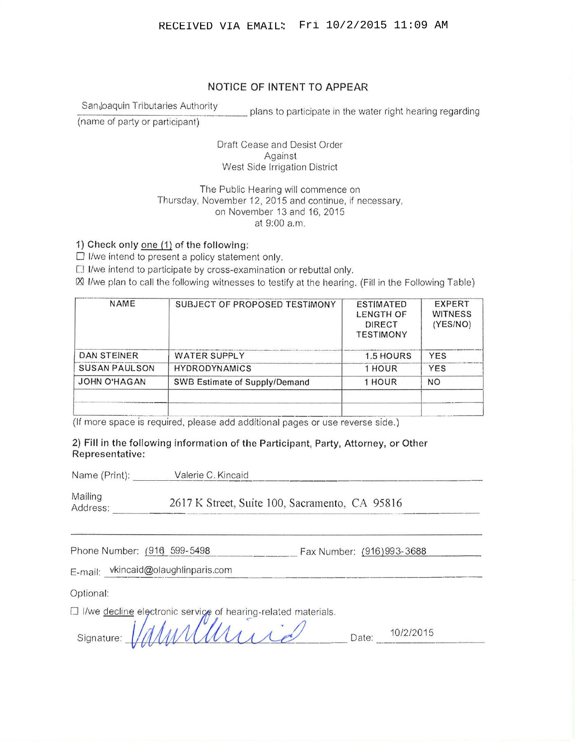## NOTICE OF INTENT TO APPEAR

SanJoaquin Tributaries Authority

plans to participate in the water right hearing regarding

(name of party or participant)

Draft Cease and Desist Order Against West Side Irrigation District

## The Public Hearing will commence on Thursday, November 12, 2015 and continue, if necessary, on November 13 and 16, 2015 at 9:00a.m.

1) Check only one (1) of the following:

 $\square$  I/we intend to present a policy statement only.

[] 1/we intend to participate by cross-examination or rebuttal only.

 $\boxtimes$  I/we plan to call the following witnesses to testify at the hearing. (Fill in the Following Table)

| SUBJECT OF PROPOSED TESTIMONY | <b>ESTIMATED</b><br><b>LENGTH OF</b><br>DIRECT<br><b>TESTIMONY</b> | <b>EXPERT</b><br><b>WITNESS</b><br>(YES/NO) |
|-------------------------------|--------------------------------------------------------------------|---------------------------------------------|
| <b>WATER SUPPLY</b>           | 1.5 HOURS                                                          | <b>YES</b>                                  |
| <b>HYDRODYNAMICS</b>          | 1 HOUR                                                             | <b>YES</b>                                  |
| SWB Estimate of Supply/Demand | 1 HOUR                                                             | NΟ                                          |
|                               |                                                                    |                                             |
|                               |                                                                    |                                             |

(If more space is required, please add additional pages or use reverse side.)

2) Fill in the following information of the Participant, Party, Attorney, or Other Representative:

Name (Print): \_\_\_\_\_\_\_ Valerie C. Kincaid

Mailing Address: 2617 K Street, Suite 100, Sacramento, CA 95816 5. Suite 100, Sacramento, CA 95816

Phone Number: (916 599-5498) Fax Number: (916) 993-3688

E-mail: vkincaid@olaughlinparis.com

Optional:

□ I/we decline electronic service of hearing-related materials.

| Signature: Valumalli | 10/2/2015 |
|----------------------|-----------|
| $\mathscr{A}$        | Jate.     |